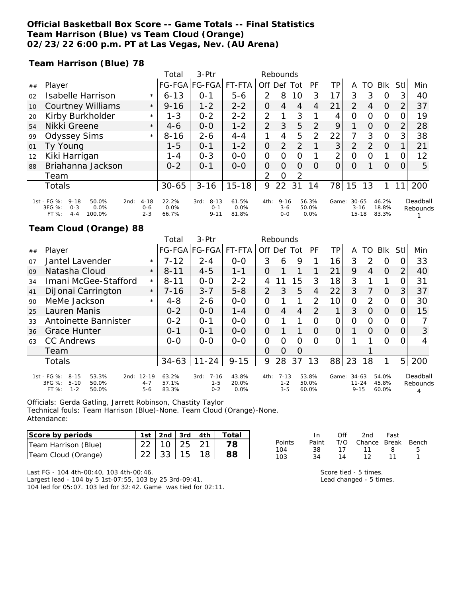### **Official Basketball Box Score -- Game Totals -- Final Statistics Team Harrison (Blue) vs Team Cloud (Orange) 02/23/22 6:00 p.m. PT at Las Vegas, Nev. (AU Arena)**

**Team Harrison (Blue) 78**

|    |                                                                                                                                     |         | Total                     | 3-Ptr                                   | Rebounds               |                |                                |                |                        |       |                                    |          |                         |                |                      |
|----|-------------------------------------------------------------------------------------------------------------------------------------|---------|---------------------------|-----------------------------------------|------------------------|----------------|--------------------------------|----------------|------------------------|-------|------------------------------------|----------|-------------------------|----------------|----------------------|
| ## | Player                                                                                                                              |         | <b>FG-FGA</b>             | FG-FGA                                  | FT-FTA                 | Off Def        |                                | Tot            | PF                     | ΤP    | A                                  | TO       | <b>BIK</b>              | StII           | Min                  |
| 02 | <b>Isabelle Harrison</b>                                                                                                            | $\star$ | $6 - 13$                  | $O - 1$                                 | $5 - 6$                | $\mathcal{P}$  | 8                              | 10             | 3                      | 17    | 3                                  | 3        | $\Omega$                | 31             | 40                   |
| 10 | <b>Courtney Williams</b>                                                                                                            | $\star$ | $9 - 16$                  | $1 - 2$                                 | $2 - 2$                | 0              | $\overline{4}$                 | 4              | 4                      | 21    | 2                                  | 4        | O                       | 2              | 37                   |
| 20 | Kirby Burkholder                                                                                                                    | $\star$ | $1 - 3$                   | $0 - 2$                                 | $2 - 2$                | 2              | 1                              | 3              |                        | 4     | $\Omega$                           | O        | $\circ$                 | 0              | 19                   |
| 54 | Nikki Greene                                                                                                                        | $\star$ | $4-6$                     | $0 - 0$                                 | $1 - 2$                | 2              | 3                              | 5              | $\overline{2}$         | 9     |                                    | $\Omega$ | $\Omega$                | $\overline{2}$ | 28                   |
| 99 | <b>Odyssey Sims</b>                                                                                                                 | $\star$ | $8 - 16$                  | $2 - 6$                                 | $4 - 4$                | 1              | 4                              | 5              | 2                      | 22    | 7                                  | 3        | $\circ$                 | 3              | 38                   |
| 01 | Ty Young                                                                                                                            |         | $1 - 5$                   | $O - 1$                                 | $1 - 2$                | $\overline{O}$ | 2                              | 2              |                        | 3     | 2                                  | 2        | $\Omega$                |                | 21                   |
| 12 | Kiki Harrigan                                                                                                                       |         | $1 - 4$                   | $0 - 3$                                 | $O - O$                | 0              | $\Omega$                       | $\overline{O}$ |                        | 2     | $\Omega$                           | O        |                         | 0              | 12                   |
| 88 | Briahanna Jackson                                                                                                                   |         | $0 - 2$                   | $O - 1$                                 | $0 - 0$                | 0              | $\Omega$                       | $\Omega$       | $\Omega$               | O     | O                                  |          | $\Omega$                | 0              | 5                    |
|    | Team                                                                                                                                |         |                           |                                         |                        | 2              | $\Omega$                       | 2              |                        |       |                                    |          |                         |                |                      |
|    | <b>Totals</b>                                                                                                                       |         | $30 - 65$                 | $3 - 16$                                | $15 - 18$              | 9              | 22                             | 31             | 14                     | 78    | 15                                 | 13       |                         |                | 200                  |
|    | 1st - FG %:<br>$4 - 18$<br>$9 - 18$<br>50.0%<br>2nd:<br>3FG %:<br>0.0%<br>$0 - 6$<br>$0 - 3$<br>$2 - 3$<br>FT%<br>$4 - 4$<br>100.0% |         | 22.2%<br>$0.0\%$<br>66.7% | $8 - 13$<br>3rd:<br>$0 - 1$<br>$9 - 11$ | 61.5%<br>0.0%<br>81.8% | 4th:           | $9 - 16$<br>$3 - 6$<br>$0 - 0$ |                | 56.3%<br>50.0%<br>0.0% | Game: | $30 - 65$<br>$3 - 16$<br>$15 - 18$ |          | 46.2%<br>18.8%<br>83.3% |                | Deadball<br>Rebounds |

### **Team Cloud (Orange) 88**

|    |                                                                                                      |                                 | Total                   | $3-$ Ptr                               | Rebounds                  |                |                                |                  |                         |       |                                    |          |                         |                |                           |
|----|------------------------------------------------------------------------------------------------------|---------------------------------|-------------------------|----------------------------------------|---------------------------|----------------|--------------------------------|------------------|-------------------------|-------|------------------------------------|----------|-------------------------|----------------|---------------------------|
| ## | Player                                                                                               |                                 |                         | FG-FGA FG-FGA                          | FT-FTA                    | Off            | Def                            | Tot              | PF                      | TP.   | A                                  | TO       | <b>BIK</b>              | Stl            | Min                       |
| 07 | Jantel Lavender                                                                                      | $\star$                         | $7 - 12$                | $2 - 4$                                | $0 - 0$                   | 3              | 6                              | 9                |                         | 16    | 3                                  | 2        | O                       |                | 33                        |
| 09 | Natasha Cloud                                                                                        | $\star$                         | $8 - 11$                | $4 - 5$                                | $1 - 1$                   | 0              |                                |                  |                         | 21    | 9                                  | 4        | $\Omega$                | 2              | 40                        |
| 34 | Imani McGee-Stafford                                                                                 | $\star$                         | $8 - 11$                | $0-0$                                  | $2 - 2$                   | $\overline{4}$ | 11                             | 15               | 3                       | 18    | 3                                  |          | 1                       |                | 31                        |
| 41 | DiJonai Carrington                                                                                   | $\star$                         | $7 - 16$                | $3 - 7$                                | $5 - 8$                   | 2              | 3                              | 5                | 4                       | 22    | 3                                  |          | $\Omega$                | 3              | 37                        |
| 90 | MeMe Jackson                                                                                         | $\star$                         | $4 - 8$                 | $2 - 6$                                | $0-0$                     | 0              |                                | 1                | 2                       | 10    | Ω                                  | 2        | 0                       |                | 30                        |
| 25 | Lauren Manis                                                                                         |                                 | $0 - 2$                 | $0 - 0$                                | $1 - 4$                   | 0              | 4                              | 4                | $\mathcal{D}$           |       | 3                                  | $\Omega$ | $\Omega$                |                | 15                        |
| 33 | Antoinette Bannister                                                                                 |                                 | $0 - 2$                 | $O - 1$                                | $0 - 0$                   | $\overline{O}$ |                                | 1                | Ω                       | Ω     | Ω                                  | O        | $\Omega$                | O              |                           |
| 36 | <b>Grace Hunter</b>                                                                                  |                                 | $0 - 1$                 | $0 - 1$                                | $0 - 0$                   | $\overline{O}$ |                                | 1                | Ω                       | 0     |                                    | O        | $\Omega$                | 0              | 3                         |
| 63 | <b>CC Andrews</b>                                                                                    |                                 | $0 - 0$                 | $0 - 0$                                | $0 - 0$                   | 0              | Ω                              | Ω                | ∩                       |       |                                    |          | Ω                       |                | 4                         |
|    | Team                                                                                                 |                                 |                         |                                        |                           | $\Omega$       | $\Omega$                       | $\left( \right)$ |                         |       |                                    |          |                         |                |                           |
|    | <b>Totals</b>                                                                                        |                                 | $34 - 63$               | $11 - 24$                              | $9 - 15$                  | 9              | 28                             | 37               | 13                      | 88    | 23                                 | 18       |                         | 5 <sup>1</sup> | 200                       |
|    | 1st - FG %:<br>$8 - 15$<br>53.3%<br>2nd:<br>3FG %:<br>$5 - 10$<br>50.0%<br>FT %:<br>$1 - 2$<br>50.0% | $12 - 19$<br>$4 - 7$<br>$5 - 6$ | 63.2%<br>57.1%<br>83.3% | $7 - 16$<br>3rd:<br>$1 - 5$<br>$0 - 2$ | 43.8%<br>20.0%<br>$0.0\%$ | 4th:           | $7 - 13$<br>$1 - 2$<br>$3 - 5$ |                  | 53.8%<br>50.0%<br>60.0% | Game: | $34 - 63$<br>$11 - 24$<br>$9 - 15$ |          | 54.0%<br>45.8%<br>60.0% |                | Deadball<br>Rebounds<br>4 |

Officials: Gerda Gatling, Jarrett Robinson, Chastity Taylor Technical fouls: Team Harrison (Blue)-None. Team Cloud (Orange)-None. Attendance:

| Score by periods     | 1st | $ 2nd $ 3rd $ 4th $          |  | Total |
|----------------------|-----|------------------------------|--|-------|
| Team Harrison (Blue) |     | $110$   25   21              |  |       |
| Team Cloud (Orange)  |     | $22 \mid 33 \mid 15 \mid 18$ |  |       |

Last FG - 104 4th-00:40, 103 4th-00:46. Largest lead - 104 by 5 1st-07:55, 103 by 25 3rd-09:41. 104 led for 05:07. 103 led for 32:42. Game was tied for 02:11.

|               | In.   | Off | 2nd                    | Fast |     |
|---------------|-------|-----|------------------------|------|-----|
| <b>Points</b> | Paint |     | T/O Chance Break Bench |      |     |
| 104           | 38.   | 17  | 11                     | - 8  | - 5 |
| 103           | 34    | 14  | 12.                    | 11   |     |

Score tied - 5 times. Lead changed - 5 times.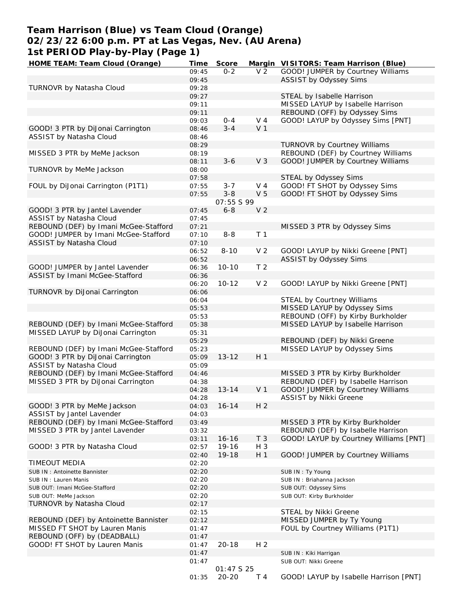# **Team Harrison (Blue) vs Team Cloud (Orange) 02/23/22 6:00 p.m. PT at Las Vegas, Nev. (AU Arena) 1st PERIOD Play-by-Play (Page 1)**

| HOME TEAM: Team Cloud (Orange)        | Time  | Score             |                | Margin VISITORS: Team Harrison (Blue)  |
|---------------------------------------|-------|-------------------|----------------|----------------------------------------|
|                                       | 09:45 | $0 - 2$           | V <sub>2</sub> | GOOD! JUMPER by Courtney Williams      |
|                                       | 09:45 |                   |                | ASSIST by Odyssey Sims                 |
| TURNOVR by Natasha Cloud              | 09:28 |                   |                |                                        |
|                                       | 09:27 |                   |                | STEAL by Isabelle Harrison             |
|                                       | 09:11 |                   |                | MISSED LAYUP by Isabelle Harrison      |
|                                       | 09:11 |                   |                | REBOUND (OFF) by Odyssey Sims          |
|                                       | 09:03 | $0 - 4$           | V <sub>4</sub> | GOOD! LAYUP by Odyssey Sims [PNT]      |
| GOOD! 3 PTR by DiJonai Carrington     | 08:46 | $3 - 4$           | V <sub>1</sub> |                                        |
| ASSIST by Natasha Cloud               | 08:46 |                   |                |                                        |
|                                       |       |                   |                |                                        |
|                                       | 08:29 |                   |                | TURNOVR by Courtney Williams           |
| MISSED 3 PTR by MeMe Jackson          | 08:19 |                   |                | REBOUND (DEF) by Courtney Williams     |
|                                       | 08:11 | $3 - 6$           | V <sub>3</sub> | GOOD! JUMPER by Courtney Williams      |
| TURNOVR by MeMe Jackson               | 08:00 |                   |                |                                        |
|                                       | 07:58 |                   |                | STEAL by Odyssey Sims                  |
| FOUL by DiJonai Carrington (P1T1)     | 07:55 | $3 - 7$           | $V_4$          | GOOD! FT SHOT by Odyssey Sims          |
|                                       | 07:55 | $3 - 8$           | V <sub>5</sub> | GOOD! FT SHOT by Odyssey Sims          |
|                                       |       | <i>07:55 S 99</i> |                |                                        |
| GOOD! 3 PTR by Jantel Lavender        | 07:45 | $6 - 8$           | V <sub>2</sub> |                                        |
| ASSIST by Natasha Cloud               | 07:45 |                   |                |                                        |
| REBOUND (DEF) by Imani McGee-Stafford | 07:21 |                   |                | MISSED 3 PTR by Odyssey Sims           |
| GOOD! JUMPER by Imani McGee-Stafford  | 07:10 | $8 - 8$           | T <sub>1</sub> |                                        |
| ASSIST by Natasha Cloud               | 07:10 |                   |                |                                        |
|                                       | 06:52 | $8 - 10$          | V <sub>2</sub> | GOOD! LAYUP by Nikki Greene [PNT]      |
|                                       | 06:52 |                   |                | <b>ASSIST by Odyssey Sims</b>          |
| GOOD! JUMPER by Jantel Lavender       | 06:36 | $10 - 10$         | T <sub>2</sub> |                                        |
|                                       |       |                   |                |                                        |
| ASSIST by Imani McGee-Stafford        | 06:36 |                   |                |                                        |
|                                       | 06:20 | $10 - 12$         | V <sub>2</sub> | GOOD! LAYUP by Nikki Greene [PNT]      |
| TURNOVR by DiJonai Carrington         | 06:06 |                   |                |                                        |
|                                       | 06:04 |                   |                | STEAL by Courtney Williams             |
|                                       | 05:53 |                   |                | MISSED LAYUP by Odyssey Sims           |
|                                       | 05:53 |                   |                | REBOUND (OFF) by Kirby Burkholder      |
| REBOUND (DEF) by Imani McGee-Stafford | 05:38 |                   |                | MISSED LAYUP by Isabelle Harrison      |
| MISSED LAYUP by DiJonai Carrington    | 05:31 |                   |                |                                        |
|                                       | 05:29 |                   |                | REBOUND (DEF) by Nikki Greene          |
| REBOUND (DEF) by Imani McGee-Stafford | 05:23 |                   |                | MISSED LAYUP by Odyssey Sims           |
| GOOD! 3 PTR by DiJonai Carrington     | 05:09 | $13 - 12$         | H <sub>1</sub> |                                        |
| ASSIST by Natasha Cloud               | 05:09 |                   |                |                                        |
| REBOUND (DEF) by Imani McGee-Stafford | 04:46 |                   |                | MISSED 3 PTR by Kirby Burkholder       |
| MISSED 3 PTR by DiJonai Carrington    | 04:38 |                   |                | REBOUND (DEF) by Isabelle Harrison     |
|                                       | 04:28 | $13 - 14$         | V <sub>1</sub> | GOOD! JUMPER by Courtney Williams      |
|                                       | 04:28 |                   |                | ASSIST by Nikki Greene                 |
| GOOD! 3 PTR by MeMe Jackson           | 04:03 | $16 - 14$         | H <sub>2</sub> |                                        |
| ASSIST by Jantel Lavender             | 04:03 |                   |                |                                        |
| REBOUND (DEF) by Imani McGee-Stafford | 03:49 |                   |                | MISSED 3 PTR by Kirby Burkholder       |
| MISSED 3 PTR by Jantel Lavender       | 03:32 |                   |                | REBOUND (DEF) by Isabelle Harrison     |
|                                       | 03:11 | $16 - 16$         | T <sub>3</sub> | GOOD! LAYUP by Courtney Williams [PNT] |
| GOOD! 3 PTR by Natasha Cloud          | 02:57 | 19-16             | $H_3$          |                                        |
|                                       | 02:40 | 19-18             | H <sub>1</sub> | GOOD! JUMPER by Courtney Williams      |
| TIMEOUT MEDIA                         | 02:20 |                   |                |                                        |
|                                       | 02:20 |                   |                | SUB IN: Ty Young                       |
| SUB IN: Antoinette Bannister          | 02:20 |                   |                |                                        |
| SUB IN: Lauren Manis                  |       |                   |                | SUB IN: Briahanna Jackson              |
| SUB OUT: Imani McGee-Stafford         | 02:20 |                   |                | SUB OUT: Odyssey Sims                  |
| SUB OUT: MeMe Jackson                 | 02:20 |                   |                | SUB OUT: Kirby Burkholder              |
| TURNOVR by Natasha Cloud              | 02:17 |                   |                |                                        |
|                                       | 02:15 |                   |                | STEAL by Nikki Greene                  |
| REBOUND (DEF) by Antoinette Bannister | 02:12 |                   |                | MISSED JUMPER by Ty Young              |
| MISSED FT SHOT by Lauren Manis        | 01:47 |                   |                | FOUL by Courtney Williams (P1T1)       |
| REBOUND (OFF) by (DEADBALL)           | 01:47 |                   |                |                                        |
| GOOD! FT SHOT by Lauren Manis         | 01:47 | $20 - 18$         | H <sub>2</sub> |                                        |
|                                       | 01:47 |                   |                | SUB IN: Kiki Harrigan                  |
|                                       | 01:47 |                   |                | SUB OUT: Nikki Greene                  |
|                                       |       | 01:47 S 25        |                |                                        |
|                                       | 01:35 | $20 - 20$         | T 4            | GOOD! LAYUP by Isabelle Harrison [PNT] |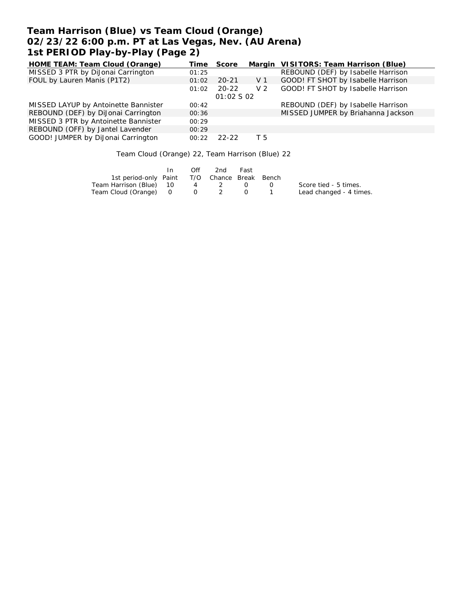# **Team Harrison (Blue) vs Team Cloud (Orange) 02/23/22 6:00 p.m. PT at Las Vegas, Nev. (AU Arena) 1st PERIOD Play-by-Play (Page 2)**

| HOME TEAM: Team Cloud (Orange)       | Time  | Score      |                | Margin VISITORS: Team Harrison (Blue) |
|--------------------------------------|-------|------------|----------------|---------------------------------------|
| MISSED 3 PTR by DiJonai Carrington   | 01:25 |            |                | REBOUND (DEF) by Isabelle Harrison    |
| FOUL by Lauren Manis (P1T2)          | 01:02 | $20 - 21$  | V 1            | GOOD! FT SHOT by Isabelle Harrison    |
|                                      | 01:02 | $20 - 22$  | V <sub>2</sub> | GOOD! FT SHOT by Isabelle Harrison    |
|                                      |       | 01:02 S 02 |                |                                       |
| MISSED LAYUP by Antoinette Bannister | 00:42 |            |                | REBOUND (DEF) by Isabelle Harrison    |
| REBOUND (DEF) by DiJonai Carrington  | 00:36 |            |                | MISSED JUMPER by Briahanna Jackson    |
| MISSED 3 PTR by Antoinette Bannister | 00:29 |            |                |                                       |
| REBOUND (OFF) by Jantel Lavender     | 00:29 |            |                |                                       |
| GOOD! JUMPER by DiJonai Carrington   | 00:22 | 22-22      | T 5            |                                       |

Team Cloud (Orange) 22, Team Harrison (Blue) 22

|                                              | In. | Off | 2nd | Fast |                         |
|----------------------------------------------|-----|-----|-----|------|-------------------------|
| 1st period-only Paint T/O Chance Break Bench |     |     |     |      |                         |
| Team Harrison (Blue) 10                      |     |     | 4 2 | (1)  | Score tied - 5 times.   |
| Team Cloud (Orange) 0 0 2                    |     |     |     |      | Lead changed - 4 times. |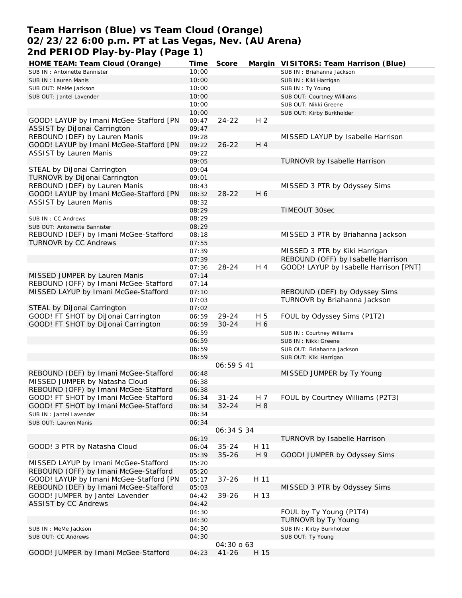# **Team Harrison (Blue) vs Team Cloud (Orange) 02/23/22 6:00 p.m. PT at Las Vegas, Nev. (AU Arena) 2nd PERIOD Play-by-Play (Page 1)**

| HOME TEAM: Team Cloud (Orange)          | Time           | Score      |                | Margin VISITORS: Team Harrison (Blue)  |
|-----------------------------------------|----------------|------------|----------------|----------------------------------------|
| SUB IN: Antoinette Bannister            | 10:00          |            |                | SUB IN: Briahanna Jackson              |
| SUB IN: Lauren Manis                    | 10:00          |            |                | SUB IN: Kiki Harrigan                  |
| SUB OUT: MeMe Jackson                   | 10:00          |            |                | SUB IN: Ty Young                       |
| SUB OUT: Jantel Lavender                | 10:00          |            |                | SUB OUT: Courtney Williams             |
|                                         | 10:00          |            |                | SUB OUT: Nikki Greene                  |
|                                         | 10:00          |            |                | SUB OUT: Kirby Burkholder              |
| GOOD! LAYUP by Imani McGee-Stafford [PN | 09:47          | $24 - 22$  | H <sub>2</sub> |                                        |
| ASSIST by DiJonai Carrington            | 09:47          |            |                |                                        |
| REBOUND (DEF) by Lauren Manis           | 09:28          |            |                | MISSED LAYUP by Isabelle Harrison      |
| GOOD! LAYUP by Imani McGee-Stafford [PN | 09:22          | $26 - 22$  | H 4            |                                        |
| <b>ASSIST by Lauren Manis</b>           | 09:22          |            |                |                                        |
|                                         | 09:05          |            |                | TURNOVR by Isabelle Harrison           |
|                                         |                |            |                |                                        |
| STEAL by DiJonai Carrington             | 09:04          |            |                |                                        |
| TURNOVR by DiJonai Carrington           | 09:01          |            |                |                                        |
| REBOUND (DEF) by Lauren Manis           | 08:43          |            |                | MISSED 3 PTR by Odyssey Sims           |
| GOOD! LAYUP by Imani McGee-Stafford [PN | 08:32          | $28 - 22$  | H 6            |                                        |
| <b>ASSIST by Lauren Manis</b>           | 08:32          |            |                |                                        |
|                                         | 08:29          |            |                | TIMEOUT 30sec                          |
| SUB IN: CC Andrews                      | 08:29          |            |                |                                        |
| SUB OUT: Antoinette Bannister           | 08:29          |            |                |                                        |
| REBOUND (DEF) by Imani McGee-Stafford   | 08:18          |            |                | MISSED 3 PTR by Briahanna Jackson      |
| TURNOVR by CC Andrews                   | 07:55          |            |                |                                        |
|                                         | 07:39          |            |                | MISSED 3 PTR by Kiki Harrigan          |
|                                         | 07:39          |            |                | REBOUND (OFF) by Isabelle Harrison     |
|                                         | 07:36          | $28 - 24$  | H 4            | GOOD! LAYUP by Isabelle Harrison [PNT] |
| MISSED JUMPER by Lauren Manis           | 07:14          |            |                |                                        |
| REBOUND (OFF) by Imani McGee-Stafford   | 07:14          |            |                |                                        |
| MISSED LAYUP by Imani McGee-Stafford    | 07:10          |            |                | REBOUND (DEF) by Odyssey Sims          |
|                                         | 07:03          |            |                | TURNOVR by Briahanna Jackson           |
|                                         |                |            |                |                                        |
| STEAL by DiJonai Carrington             | 07:02          |            |                |                                        |
| GOOD! FT SHOT by DiJonai Carrington     | 06:59          | $29 - 24$  | H 5            | FOUL by Odyssey Sims (P1T2)            |
| GOOD! FT SHOT by DiJonai Carrington     | 06:59          | $30 - 24$  | H 6            |                                        |
|                                         | 06:59          |            |                | SUB IN: Courtney Williams              |
|                                         | 06:59          |            |                | SUB IN : Nikki Greene                  |
|                                         | 06:59          |            |                | SUB OUT: Briahanna Jackson             |
|                                         | 06:59          |            |                | SUB OUT: Kiki Harrigan                 |
|                                         |                | 06:59 S 41 |                |                                        |
| REBOUND (DEF) by Imani McGee-Stafford   | 06:48          |            |                | MISSED JUMPER by Ty Young              |
| MISSED JUMPER by Natasha Cloud          | 06:38          |            |                |                                        |
| REBOUND (OFF) by Imani McGee-Stafford   | 06:38          |            |                |                                        |
| GOOD! FT SHOT by Imani McGee-Stafford   | 06:34          | 31-24      | H 7            | FOUL by Courtney Williams (P2T3)       |
| GOOD! FT SHOT by Imani McGee-Stafford   | 06:34          | $32 - 24$  | H 8            |                                        |
| SUB IN: Jantel Lavender                 | 06:34          |            |                |                                        |
| SUB OUT: Lauren Manis                   | 06:34          |            |                |                                        |
|                                         |                | 06:34 S 34 |                |                                        |
|                                         | 06:19          |            |                | TURNOVR by Isabelle Harrison           |
| GOOD! 3 PTR by Natasha Cloud            | 06:04          | $35 - 24$  | H 11           |                                        |
|                                         | 05:39          | $35 - 26$  | H 9            | GOOD! JUMPER by Odyssey Sims           |
| MISSED LAYUP by Imani McGee-Stafford    | 05:20          |            |                |                                        |
| REBOUND (OFF) by Imani McGee-Stafford   | 05:20          |            |                |                                        |
| GOOD! LAYUP by Imani McGee-Stafford [PN |                |            |                |                                        |
|                                         | 05:17<br>05:03 | $37 - 26$  | H 11           |                                        |
| REBOUND (DEF) by Imani McGee-Stafford   |                |            |                | MISSED 3 PTR by Odyssey Sims           |
| GOOD! JUMPER by Jantel Lavender         | 04:42          | 39-26      | H 13           |                                        |
| <b>ASSIST by CC Andrews</b>             | 04:42          |            |                |                                        |
|                                         | 04:30          |            |                | FOUL by Ty Young (P1T4)                |
|                                         | 04:30          |            |                | TURNOVR by Ty Young                    |
| SUB IN : MeMe Jackson                   | 04:30          |            |                | SUB IN: Kirby Burkholder               |
| SUB OUT: CC Andrews                     | 04:30          |            |                | SUB OUT: Ty Young                      |
|                                         |                | 04:30 0 63 |                |                                        |
| GOOD! JUMPER by Imani McGee-Stafford    | 04:23          | $41 - 26$  | H 15           |                                        |
|                                         |                |            |                |                                        |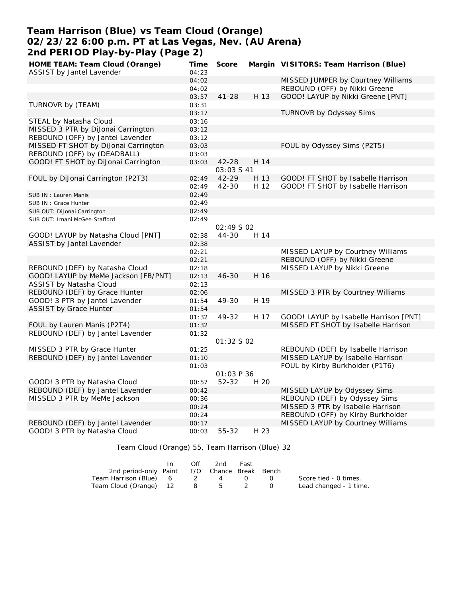## **Team Harrison (Blue) vs Team Cloud (Orange) 02/23/22 6:00 p.m. PT at Las Vegas, Nev. (AU Arena) 2nd PERIOD Play-by-Play (Page 2)**

| HOME TEAM: Team Cloud (Orange)       | Time  | Score       |      | Margin VISITORS: Team Harrison (Blue)  |
|--------------------------------------|-------|-------------|------|----------------------------------------|
| ASSIST by Jantel Lavender            | 04:23 |             |      |                                        |
|                                      | 04:02 |             |      | MISSED JUMPER by Courtney Williams     |
|                                      | 04:02 |             |      | REBOUND (OFF) by Nikki Greene          |
|                                      | 03:57 | $41 - 28$   | H 13 | GOOD! LAYUP by Nikki Greene [PNT]      |
| TURNOVR by (TEAM)                    | 03:31 |             |      |                                        |
|                                      | 03:17 |             |      | <b>TURNOVR by Odyssey Sims</b>         |
| STEAL by Natasha Cloud               | 03:16 |             |      |                                        |
| MISSED 3 PTR by DiJonai Carrington   | 03:12 |             |      |                                        |
| REBOUND (OFF) by Jantel Lavender     | 03:12 |             |      |                                        |
| MISSED FT SHOT by DiJonai Carrington | 03:03 |             |      | FOUL by Odyssey Sims (P2T5)            |
| REBOUND (OFF) by (DEADBALL)          | 03:03 |             |      |                                        |
| GOOD! FT SHOT by DiJonai Carrington  | 03:03 | 42-28       | H 14 |                                        |
|                                      |       | 03:03 \$ 41 |      |                                        |
| FOUL by DiJonai Carrington (P2T3)    | 02:49 | 42-29       | H 13 | GOOD! FT SHOT by Isabelle Harrison     |
|                                      | 02:49 | $42 - 30$   | H 12 | GOOD! FT SHOT by Isabelle Harrison     |
| SUB IN: Lauren Manis                 | 02:49 |             |      |                                        |
| SUB IN : Grace Hunter                | 02:49 |             |      |                                        |
| SUB OUT: DiJonai Carrington          | 02:49 |             |      |                                        |
| SUB OUT: Imani McGee-Stafford        | 02:49 |             |      |                                        |
|                                      |       | 02:49 S 02  |      |                                        |
| GOOD! LAYUP by Natasha Cloud [PNT]   | 02:38 | $44 - 30$   | H 14 |                                        |
| ASSIST by Jantel Lavender            | 02:38 |             |      |                                        |
|                                      | 02:21 |             |      | MISSED LAYUP by Courtney Williams      |
|                                      | 02:21 |             |      | REBOUND (OFF) by Nikki Greene          |
| REBOUND (DEF) by Natasha Cloud       | 02:18 |             |      | MISSED LAYUP by Nikki Greene           |
| GOOD! LAYUP by MeMe Jackson [FB/PNT] | 02:13 | $46 - 30$   | H 16 |                                        |
| ASSIST by Natasha Cloud              | 02:13 |             |      |                                        |
| REBOUND (DEF) by Grace Hunter        | 02:06 |             |      | MISSED 3 PTR by Courtney Williams      |
| GOOD! 3 PTR by Jantel Lavender       | 01:54 | 49-30       | H 19 |                                        |
| <b>ASSIST by Grace Hunter</b>        | 01:54 |             |      |                                        |
|                                      | 01:32 | 49-32       | H 17 | GOOD! LAYUP by Isabelle Harrison [PNT] |
| FOUL by Lauren Manis (P2T4)          | 01:32 |             |      | MISSED FT SHOT by Isabelle Harrison    |
| REBOUND (DEF) by Jantel Lavender     | 01:32 |             |      |                                        |
|                                      |       | 01:32 S 02  |      |                                        |
| MISSED 3 PTR by Grace Hunter         | 01:25 |             |      | REBOUND (DEF) by Isabelle Harrison     |
| REBOUND (DEF) by Jantel Lavender     | 01:10 |             |      | MISSED LAYUP by Isabelle Harrison      |
|                                      | 01:03 |             |      | FOUL by Kirby Burkholder (P1T6)        |
|                                      |       | 01:03 P 36  |      |                                        |
| GOOD! 3 PTR by Natasha Cloud         | 00:57 | 52-32       | H 20 |                                        |
| REBOUND (DEF) by Jantel Lavender     | 00:42 |             |      | MISSED LAYUP by Odyssey Sims           |
| MISSED 3 PTR by MeMe Jackson         | 00:36 |             |      | REBOUND (DEF) by Odyssey Sims          |
|                                      | 00:24 |             |      | MISSED 3 PTR by Isabelle Harrison      |
|                                      | 00:24 |             |      | REBOUND (OFF) by Kirby Burkholder      |
| REBOUND (DEF) by Jantel Lavender     | 00:17 |             |      | MISSED LAYUP by Courtney Williams      |
| GOOD! 3 PTR by Natasha Cloud         | 00:03 | 55-32       | H 23 |                                        |
|                                      |       |             |      |                                        |

Team Cloud (Orange) 55, Team Harrison (Blue) 32

|                                              | Off | -2nd | Fast |                      |                        |
|----------------------------------------------|-----|------|------|----------------------|------------------------|
| 2nd period-only Paint T/O Chance Break Bench |     |      |      |                      |                        |
| Team Harrison (Blue) 6 2 4 0                 |     |      |      | $\sim$ $\sim$ $\sim$ | Score tied - 0 times.  |
| Team Cloud (Orange) 12 8 5 2                 |     |      |      |                      | Lead changed - 1 time. |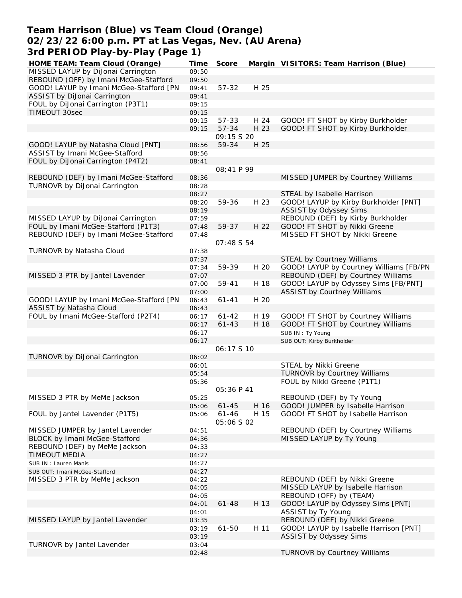### **Team Harrison (Blue) vs Team Cloud (Orange) 02/23/22 6:00 p.m. PT at Las Vegas, Nev. (AU Arena) 3rd PERIOD Play-by-Play (Page 1)**

| HOME TEAM: Team Cloud (Orange)          | <b>Time</b> | Score             |      | Margin VISITORS: Team Harrison (Blue)   |
|-----------------------------------------|-------------|-------------------|------|-----------------------------------------|
| MISSED LAYUP by DiJonai Carrington      | 09:50       |                   |      |                                         |
| REBOUND (OFF) by Imani McGee-Stafford   | 09:50       |                   |      |                                         |
| GOOD! LAYUP by Imani McGee-Stafford [PN | 09:41       | $57 - 32$         | H 25 |                                         |
| ASSIST by DiJonai Carrington            | 09:41       |                   |      |                                         |
| FOUL by DiJonai Carrington (P3T1)       | 09:15       |                   |      |                                         |
| TIMEOUT 30sec                           | 09:15       |                   |      |                                         |
|                                         | 09:15       | 57-33             | H 24 | GOOD! FT SHOT by Kirby Burkholder       |
|                                         | 09:15       | 57-34             | H 23 | GOOD! FT SHOT by Kirby Burkholder       |
|                                         |             | 09:15 S 20        |      |                                         |
| GOOD! LAYUP by Natasha Cloud [PNT]      | 08:56       | 59-34             | H 25 |                                         |
| ASSIST by Imani McGee-Stafford          | 08:56       |                   |      |                                         |
| FOUL by DiJonai Carrington (P4T2)       | 08:41       |                   |      |                                         |
|                                         |             | 08:41 P 99        |      |                                         |
| REBOUND (DEF) by Imani McGee-Stafford   | 08:36       |                   |      | MISSED JUMPER by Courtney Williams      |
| TURNOVR by DiJonai Carrington           | 08:28       |                   |      |                                         |
|                                         | 08:27       |                   |      | STEAL by Isabelle Harrison              |
|                                         | 08:20       | 59-36             | H 23 | GOOD! LAYUP by Kirby Burkholder [PNT]   |
|                                         | 08:19       |                   |      | ASSIST by Odyssey Sims                  |
| MISSED LAYUP by DiJonai Carrington      | 07:59       |                   |      | REBOUND (DEF) by Kirby Burkholder       |
| FOUL by Imani McGee-Stafford (P1T3)     | 07:48       | 59-37             | H 22 | GOOD! FT SHOT by Nikki Greene           |
| REBOUND (DEF) by Imani McGee-Stafford   | 07:48       |                   |      | MISSED FT SHOT by Nikki Greene          |
|                                         |             | 07:48 S 54        |      |                                         |
| TURNOVR by Natasha Cloud                | 07:38       |                   |      |                                         |
|                                         | 07:37       |                   |      | <b>STEAL by Courtney Williams</b>       |
|                                         | 07:34       | 59-39             | H 20 | GOOD! LAYUP by Courtney Williams [FB/PN |
| MISSED 3 PTR by Jantel Lavender         | 07:07       |                   |      | REBOUND (DEF) by Courtney Williams      |
|                                         | 07:00       | 59-41             | H 18 | GOOD! LAYUP by Odyssey Sims [FB/PNT]    |
|                                         | 07:00       |                   |      | <b>ASSIST by Courtney Williams</b>      |
| GOOD! LAYUP by Imani McGee-Stafford [PN | 06:43       | $61 - 41$         | H 20 |                                         |
| ASSIST by Natasha Cloud                 | 06:43       |                   |      |                                         |
| FOUL by Imani McGee-Stafford (P2T4)     | 06:17       | $61 - 42$         | H 19 | GOOD! FT SHOT by Courtney Williams      |
|                                         | 06:17       | $61 - 43$         | H 18 | GOOD! FT SHOT by Courtney Williams      |
|                                         | 06:17       |                   |      | SUB IN: Ty Young                        |
|                                         | 06:17       |                   |      | SUB OUT: Kirby Burkholder               |
|                                         |             | 06:17510          |      |                                         |
| TURNOVR by DiJonai Carrington           | 06:02       |                   |      |                                         |
|                                         | 06:01       |                   |      | STEAL by Nikki Greene                   |
|                                         | 05:54       |                   |      | TURNOVR by Courtney Williams            |
|                                         | 05:36       |                   |      | FOUL by Nikki Greene (P1T1)             |
|                                         |             | 05:36 P 41        |      |                                         |
| MISSED 3 PTR by MeMe Jackson            | 05:25       |                   |      | REBOUND (DEF) by Ty Young               |
|                                         | 05:06       | $61 - 45$         | H 16 | GOOD! JUMPER by Isabelle Harrison       |
| FOUL by Jantel Lavender (P1T5)          | 05:06       | $61 - 46$         | H 15 | GOOD! FT SHOT by Isabelle Harrison      |
|                                         |             | <i>05:06 S 02</i> |      |                                         |
| MISSED JUMPER by Jantel Lavender        | 04:51       |                   |      | REBOUND (DEF) by Courtney Williams      |
| BLOCK by Imani McGee-Stafford           | 04:36       |                   |      | MISSED LAYUP by Ty Young                |
| REBOUND (DEF) by MeMe Jackson           | 04:33       |                   |      |                                         |
| <b>TIMEOUT MEDIA</b>                    | 04:27       |                   |      |                                         |
| SUB IN: Lauren Manis                    | 04:27       |                   |      |                                         |
| SUB OUT: Imani McGee-Stafford           | 04:27       |                   |      |                                         |
| MISSED 3 PTR by MeMe Jackson            | 04:22       |                   |      | REBOUND (DEF) by Nikki Greene           |
|                                         | 04:05       |                   |      | MISSED LAYUP by Isabelle Harrison       |
|                                         | 04:05       |                   |      | REBOUND (OFF) by (TEAM)                 |
|                                         | 04:01       | $61 - 48$         | H 13 | GOOD! LAYUP by Odyssey Sims [PNT]       |
|                                         | 04:01       |                   |      | ASSIST by Ty Young                      |
| MISSED LAYUP by Jantel Lavender         | 03:35       |                   |      | REBOUND (DEF) by Nikki Greene           |
|                                         | 03:19       | $61 - 50$         | H 11 | GOOD! LAYUP by Isabelle Harrison [PNT]  |
|                                         | 03:19       |                   |      | ASSIST by Odyssey Sims                  |
| TURNOVR by Jantel Lavender              | 03:04       |                   |      |                                         |
|                                         | 02:48       |                   |      | TURNOVR by Courtney Williams            |
|                                         |             |                   |      |                                         |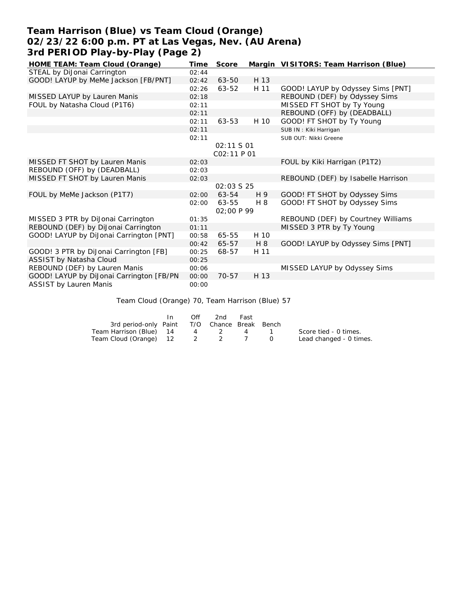## **Team Harrison (Blue) vs Team Cloud (Orange) 02/23/22 6:00 p.m. PT at Las Vegas, Nev. (AU Arena) 3rd PERIOD Play-by-Play (Page 2)**

| HOME TEAM: Team Cloud (Orange)           | Time  | Score             |      | Margin VISITORS: Team Harrison (Blue) |
|------------------------------------------|-------|-------------------|------|---------------------------------------|
| STEAL by DiJonai Carrington              | 02:44 |                   |      |                                       |
| GOOD! LAYUP by MeMe Jackson [FB/PNT]     | 02:42 | 63-50             | H 13 |                                       |
|                                          | 02:26 | 63-52             | H 11 | GOOD! LAYUP by Odyssey Sims [PNT]     |
| MISSED LAYUP by Lauren Manis             | 02:18 |                   |      | REBOUND (DEF) by Odyssey Sims         |
| FOUL by Natasha Cloud (P1T6)             | 02:11 |                   |      | MISSED FT SHOT by Ty Young            |
|                                          | 02:11 |                   |      | REBOUND (OFF) by (DEADBALL)           |
|                                          | 02:11 | 63-53             | H 10 | GOOD! FT SHOT by Ty Young             |
|                                          | 02:11 |                   |      | SUB IN: Kiki Harrigan                 |
|                                          | 02:11 |                   |      | SUB OUT: Nikki Greene                 |
|                                          |       | 02:11 S 01        |      |                                       |
|                                          |       | CO2:11 P 01       |      |                                       |
| MISSED FT SHOT by Lauren Manis           | 02:03 |                   |      | FOUL by Kiki Harrigan (P1T2)          |
| REBOUND (OFF) by (DEADBALL)              | 02:03 |                   |      |                                       |
| MISSED FT SHOT by Lauren Manis           | 02:03 |                   |      | REBOUND (DEF) by Isabelle Harrison    |
|                                          |       | 02:03 \$ 25       |      |                                       |
| FOUL by MeMe Jackson (P1T7)              | 02:00 | 63-54             | H 9  | GOOD! FT SHOT by Odyssey Sims         |
|                                          | 02:00 | 63-55             | H 8  | GOOD! FT SHOT by Odyssey Sims         |
|                                          |       | <i>02:00 P 99</i> |      |                                       |
| MISSED 3 PTR by DiJonai Carrington       | 01:35 |                   |      | REBOUND (DEF) by Courtney Williams    |
| REBOUND (DEF) by DiJonai Carrington      | 01:11 |                   |      | MISSED 3 PTR by Ty Young              |
| GOOD! LAYUP by DiJonai Carrington [PNT]  | 00:58 | 65-55             | H 10 |                                       |
|                                          | 00:42 | 65-57             | H 8  | GOOD! LAYUP by Odyssey Sims [PNT]     |
| GOOD! 3 PTR by DiJonai Carrington [FB]   | 00:25 | 68-57             | H 11 |                                       |
| ASSIST by Natasha Cloud                  | 00:25 |                   |      |                                       |
| REBOUND (DEF) by Lauren Manis            | 00:06 |                   |      | MISSED LAYUP by Odyssey Sims          |
| GOOD! LAYUP by DiJonai Carrington [FB/PN | 00:00 | $70 - 57$         | H 13 |                                       |
| <b>ASSIST by Lauren Manis</b>            | 00:00 |                   |      |                                       |

Team Cloud (Orange) 70, Team Harrison (Blue) 57

|                                              | ln - | Off      | 2nd             | Fast       |        |                         |
|----------------------------------------------|------|----------|-----------------|------------|--------|-------------------------|
| 3rd period-only Paint T/O Chance Break Bench |      |          |                 |            |        |                         |
| Team Harrison (Blue) 14                      |      | $\sim$ 4 | $\sim$ 2 $\sim$ | $\sim$ 4 1 |        | Score tied - 0 times.   |
| Team Cloud (Orange) 12 2 2 7                 |      |          |                 |            | $\cap$ | Lead changed - 0 times. |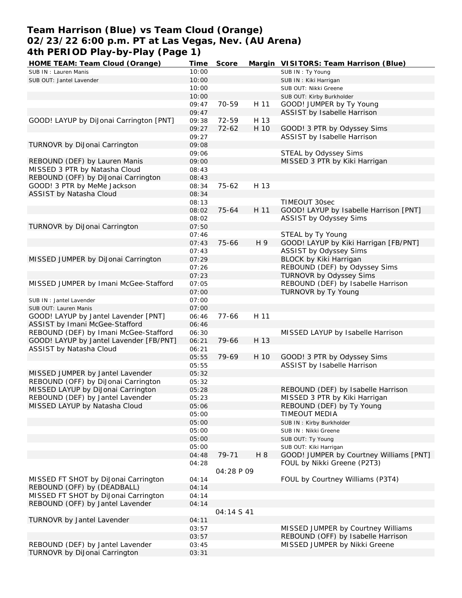# **Team Harrison (Blue) vs Team Cloud (Orange) 02/23/22 6:00 p.m. PT at Las Vegas, Nev. (AU Arena) 4th PERIOD Play-by-Play (Page 1)**

| HOME TEAM: Team Cloud (Orange)          | Time  | Score      |      | Margin VISITORS: Team Harrison (Blue)   |
|-----------------------------------------|-------|------------|------|-----------------------------------------|
| SUB IN: Lauren Manis                    | 10:00 |            |      | SUB IN: Ty Young                        |
| SUB OUT: Jantel Lavender                | 10:00 |            |      | SUB IN: Kiki Harrigan                   |
|                                         | 10:00 |            |      | SUB OUT: Nikki Greene                   |
|                                         | 10:00 |            |      | SUB OUT: Kirby Burkholder               |
|                                         | 09:47 | 70-59      | H 11 | GOOD! JUMPER by Ty Young                |
|                                         | 09:47 |            |      | ASSIST by Isabelle Harrison             |
| GOOD! LAYUP by DiJonai Carrington [PNT] | 09:38 | 72-59      | H 13 |                                         |
|                                         | 09:27 | $72 - 62$  | H 10 | GOOD! 3 PTR by Odyssey Sims             |
|                                         | 09:27 |            |      | ASSIST by Isabelle Harrison             |
| TURNOVR by DiJonai Carrington           | 09:08 |            |      |                                         |
|                                         |       |            |      | STEAL by Odyssey Sims                   |
|                                         | 09:06 |            |      |                                         |
| REBOUND (DEF) by Lauren Manis           | 09:00 |            |      | MISSED 3 PTR by Kiki Harrigan           |
| MISSED 3 PTR by Natasha Cloud           | 08:43 |            |      |                                         |
| REBOUND (OFF) by DiJonai Carrington     | 08:43 |            |      |                                         |
| GOOD! 3 PTR by MeMe Jackson             | 08:34 | 75-62      | H 13 |                                         |
| ASSIST by Natasha Cloud                 | 08:34 |            |      |                                         |
|                                         | 08:13 |            |      | TIMEOUT 30sec                           |
|                                         | 08:02 | 75-64      | H 11 | GOOD! LAYUP by Isabelle Harrison [PNT]  |
|                                         | 08:02 |            |      | ASSIST by Odyssey Sims                  |
| TURNOVR by DiJonai Carrington           | 07:50 |            |      |                                         |
|                                         | 07:46 |            |      | STEAL by Ty Young                       |
|                                         | 07:43 | 75-66      | H 9  | GOOD! LAYUP by Kiki Harrigan [FB/PNT]   |
|                                         | 07:43 |            |      | ASSIST by Odyssey Sims                  |
| MISSED JUMPER by DiJonai Carrington     | 07:29 |            |      | BLOCK by Kiki Harrigan                  |
|                                         | 07:26 |            |      | REBOUND (DEF) by Odyssey Sims           |
|                                         |       |            |      | TURNOVR by Odyssey Sims                 |
|                                         | 07:23 |            |      |                                         |
| MISSED JUMPER by Imani McGee-Stafford   | 07:05 |            |      | REBOUND (DEF) by Isabelle Harrison      |
|                                         | 07:00 |            |      | TURNOVR by Ty Young                     |
| SUB IN: Jantel Lavender                 | 07:00 |            |      |                                         |
| SUB OUT: Lauren Manis                   | 07:00 |            |      |                                         |
| GOOD! LAYUP by Jantel Lavender [PNT]    | 06:46 | $77 - 66$  | H 11 |                                         |
| ASSIST by Imani McGee-Stafford          | 06:46 |            |      |                                         |
| REBOUND (DEF) by Imani McGee-Stafford   | 06:30 |            |      | MISSED LAYUP by Isabelle Harrison       |
| GOOD! LAYUP by Jantel Lavender [FB/PNT] | 06:21 | 79-66      | H 13 |                                         |
| ASSIST by Natasha Cloud                 | 06:21 |            |      |                                         |
|                                         | 05:55 | 79-69      | H 10 | GOOD! 3 PTR by Odyssey Sims             |
|                                         | 05:55 |            |      | ASSIST by Isabelle Harrison             |
| MISSED JUMPER by Jantel Lavender        | 05:32 |            |      |                                         |
| REBOUND (OFF) by DiJonai Carrington     | 05:32 |            |      |                                         |
| MISSED LAYUP by DiJonai Carrington      | 05:28 |            |      | REBOUND (DEF) by Isabelle Harrison      |
| REBOUND (DEF) by Jantel Lavender        | 05:23 |            |      | MISSED 3 PTR by Kiki Harrigan           |
| MISSED LAYUP by Natasha Cloud           | 05:06 |            |      | REBOUND (DEF) by Ty Young               |
|                                         | 05:00 |            |      | TIMEOUT MEDIA                           |
|                                         |       |            |      |                                         |
|                                         | 05:00 |            |      | SUB IN: Kirby Burkholder                |
|                                         | 05:00 |            |      | SUB IN: Nikki Greene                    |
|                                         | 05:00 |            |      | SUB OUT: Ty Young                       |
|                                         | 05:00 |            |      | SUB OUT: Kiki Harrigan                  |
|                                         | 04:48 | 79-71      | H 8  | GOOD! JUMPER by Courtney Williams [PNT] |
|                                         | 04:28 |            |      | FOUL by Nikki Greene (P2T3)             |
|                                         |       | 04:28 P 09 |      |                                         |
| MISSED FT SHOT by DiJonai Carrington    | 04:14 |            |      | FOUL by Courtney Williams (P3T4)        |
| REBOUND (OFF) by (DEADBALL)             | 04:14 |            |      |                                         |
| MISSED FT SHOT by DiJonai Carrington    | 04:14 |            |      |                                         |
| REBOUND (OFF) by Jantel Lavender        | 04:14 |            |      |                                         |
|                                         |       | 04:14 S 41 |      |                                         |
| TURNOVR by Jantel Lavender              | 04:11 |            |      |                                         |
|                                         | 03:57 |            |      | MISSED JUMPER by Courtney Williams      |
|                                         | 03:57 |            |      | REBOUND (OFF) by Isabelle Harrison      |
| REBOUND (DEF) by Jantel Lavender        | 03:45 |            |      | MISSED JUMPER by Nikki Greene           |
|                                         |       |            |      |                                         |
| TURNOVR by DiJonai Carrington           | 03:31 |            |      |                                         |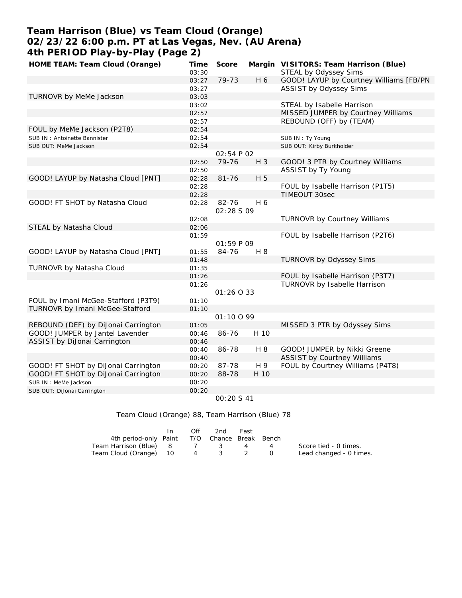# **Team Harrison (Blue) vs Team Cloud (Orange) 02/23/22 6:00 p.m. PT at Las Vegas, Nev. (AU Arena) 4th PERIOD Play-by-Play (Page 2)**

| HOME TEAM: Team Cloud (Orange)      | Time  | Score      |       | Margin VISITORS: Team Harrison (Blue)   |
|-------------------------------------|-------|------------|-------|-----------------------------------------|
|                                     | 03:30 |            |       | STEAL by Odyssey Sims                   |
|                                     | 03:27 | 79-73      | H 6   | GOOD! LAYUP by Courtney Williams [FB/PN |
|                                     | 03:27 |            |       | <b>ASSIST by Odyssey Sims</b>           |
| TURNOVR by MeMe Jackson             | 03:03 |            |       |                                         |
|                                     | 03:02 |            |       | STEAL by Isabelle Harrison              |
|                                     | 02:57 |            |       | MISSED JUMPER by Courtney Williams      |
|                                     | 02:57 |            |       | REBOUND (OFF) by (TEAM)                 |
| FOUL by MeMe Jackson (P2T8)         | 02:54 |            |       |                                         |
| SUB IN: Antoinette Bannister        | 02:54 |            |       | SUB IN: Ty Young                        |
| SUB OUT: MeMe Jackson               | 02:54 |            |       | SUB OUT: Kirby Burkholder               |
|                                     |       | 02:54 P 02 |       |                                         |
|                                     | 02:50 | 79-76      | $H_3$ | GOOD! 3 PTR by Courtney Williams        |
|                                     | 02:50 |            |       | ASSIST by Ty Young                      |
| GOOD! LAYUP by Natasha Cloud [PNT]  | 02:28 | $81 - 76$  | H 5   |                                         |
|                                     | 02:28 |            |       | FOUL by Isabelle Harrison (P1T5)        |
|                                     | 02:28 |            |       | TIMEOUT 30sec                           |
| GOOD! FT SHOT by Natasha Cloud      | 02:28 | 82-76      | H 6   |                                         |
|                                     |       | 02:28 S 09 |       |                                         |
|                                     | 02:08 |            |       | TURNOVR by Courtney Williams            |
| STEAL by Natasha Cloud              | 02:06 |            |       |                                         |
|                                     | 01:59 |            |       | FOUL by Isabelle Harrison (P2T6)        |
|                                     |       | 01:59 P 09 |       |                                         |
| GOOD! LAYUP by Natasha Cloud [PNT]  | 01:55 | 84-76      | H 8   |                                         |
|                                     | 01:48 |            |       | TURNOVR by Odyssey Sims                 |
| TURNOVR by Natasha Cloud            | 01:35 |            |       |                                         |
|                                     | 01:26 |            |       | FOUL by Isabelle Harrison (P3T7)        |
|                                     | 01:26 |            |       | TURNOVR by Isabelle Harrison            |
|                                     |       | 01:26 0 33 |       |                                         |
| FOUL by Imani McGee-Stafford (P3T9) | 01:10 |            |       |                                         |
| TURNOVR by Imani McGee-Stafford     | 01:10 |            |       |                                         |
|                                     |       | 01:10099   |       |                                         |
| REBOUND (DEF) by DiJonai Carrington | 01:05 |            |       | MISSED 3 PTR by Odyssey Sims            |
| GOOD! JUMPER by Jantel Lavender     | 00:46 | 86-76      | H 10  |                                         |
| ASSIST by DiJonai Carrington        | 00:46 |            |       |                                         |
|                                     | 00:40 | 86-78      | H 8   | GOOD! JUMPER by Nikki Greene            |
|                                     | 00:40 |            |       | <b>ASSIST by Courtney Williams</b>      |
| GOOD! FT SHOT by DiJonai Carrington | 00:20 | 87-78      | H 9   | FOUL by Courtney Williams (P4T8)        |
| GOOD! FT SHOT by DiJonai Carrington | 00:20 | 88-78      | H 10  |                                         |
| SUB IN : MeMe Jackson               | 00:20 |            |       |                                         |
| SUB OUT: DiJonai Carrington         | 00:20 |            |       |                                         |
|                                     |       | 00:20 S 41 |       |                                         |

#### Team Cloud (Orange) 88, Team Harrison (Blue) 78

|                                              | $\mathsf{In}$ | Off | 2nd | Fast |                |                         |
|----------------------------------------------|---------------|-----|-----|------|----------------|-------------------------|
| 4th period-only Paint T/O Chance Break Bench |               |     |     |      |                |                         |
| Team Harrison (Blue) 8 7 3 4                 |               |     |     |      | $\overline{a}$ | Score tied - 0 times.   |
| Team Cloud (Orange) 10 4 3 2                 |               |     |     |      |                | Lead changed - 0 times. |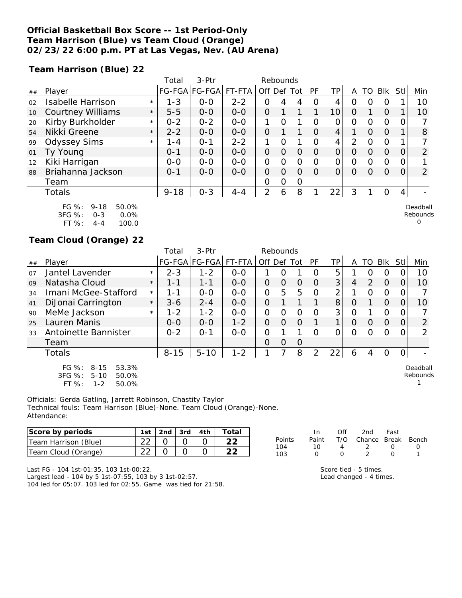#### **Official Basketball Box Score -- 1st Period-Only Team Harrison (Blue) vs Team Cloud (Orange) 02/23/22 6:00 p.m. PT at Las Vegas, Nev. (AU Arena)**

**Team Harrison (Blue) 22**

|    |                                                         |         | Total    | 3-Ptr         |         | Rebounds    |          |   |          |              |   |          |            |     |                      |
|----|---------------------------------------------------------|---------|----------|---------------|---------|-------------|----------|---|----------|--------------|---|----------|------------|-----|----------------------|
| ## | Player                                                  |         |          | FG-FGA FG-FGA | FT-FTA  | Off Def Tot |          |   | PF       | ΤP           | A | TO       | <b>Blk</b> | Stl | Min                  |
| 02 | Isabelle Harrison                                       | $\star$ | $1 - 3$  | $0-0$         | $2 - 2$ | 0           | 4        | 4 | Ω        | 4            | O |          | Ο          |     | 10                   |
| 10 | <b>Courtney Williams</b>                                | $\star$ | $5 - 5$  | $0 - 0$       | $0 - 0$ | $\Omega$    |          | 1 | 1        | 10           | 0 |          | $\Omega$   |     | 10                   |
| 20 | Kirby Burkholder                                        | $\star$ | $0 - 2$  | $0 - 2$       | $0 - 0$ |             | Ω        |   | 0        | Ο            | Ο | Ω        | 0          |     |                      |
| 54 | Nikki Greene                                            | $\star$ | $2 - 2$  | $0 - 0$       | $0 - 0$ | 0           |          | 1 | $\Omega$ | 4            |   | Ο        | $\Omega$   |     | 8                    |
| 99 | <b>Odyssey Sims</b>                                     | $\star$ | $1 - 4$  | $O - 1$       | $2 - 2$ |             | Ω        | 1 | $\Omega$ | $\mathbf{A}$ | 2 | $\Omega$ | 0          |     |                      |
| 01 | Ty Young                                                |         | $0 - 1$  | $0 - 0$       | $0 - 0$ | 0           | $\Omega$ | 0 | Ω        | O            | O | Ω        | $\Omega$   |     | 2                    |
| 12 | Kiki Harrigan                                           |         | $0 - 0$  | $0 - 0$       | $0 - 0$ | 0           | Ω        | 0 | Ω        | $\Omega$     | Ω | Ω        | 0          |     |                      |
| 88 | Briahanna Jackson                                       |         | $0 - 1$  | $0 - 0$       | $0 - 0$ | 0           | $\Omega$ | 0 | Ω        | 0            | O | ∩        | $\Omega$   | 0   | $\overline{2}$       |
|    | Team                                                    |         |          |               |         | 0           | 0        | 0 |          |              |   |          |            |     |                      |
|    | Totals                                                  |         | $9 - 18$ | $O - 3$       | $4 - 4$ | 2           | 6        | 8 |          | $22 \vert$   | 3 |          | 0          | 4   |                      |
|    | FG %:<br>50.0%<br>$9 - 18$<br>3FG %:<br>0.0%<br>$O - 3$ |         |          |               |         |             |          |   |          |              |   |          |            |     | Deadball<br>Rebounds |

3FG %: 0-3 0.0% FT %: 4-4 100.0

#### **Team Cloud (Orange) 22**

|    |                                                                                            |         | Total    | $3-$ Ptr      | Rebounds |               |          |                |    |    |          |                  |             |              |                      |
|----|--------------------------------------------------------------------------------------------|---------|----------|---------------|----------|---------------|----------|----------------|----|----|----------|------------------|-------------|--------------|----------------------|
| ## | Player                                                                                     |         |          | FG-FGA FG-FGA | FT-FTA   | Off Def Tot   |          |                | PF | ΤP | A        | TO I             | Blk         | -StII        | Min                  |
| 07 | Jantel Lavender                                                                            | $\star$ | $2 - 3$  | $1 - 2$       | $0 - 0$  |               | O        |                | O  | 5  |          | ( )              | O           |              | 10                   |
| 09 | Natasha Cloud                                                                              | $\star$ | $1 - 1$  | $1 - 1$       | $0 - 0$  | $\Omega$      | $\Omega$ | 0              | O  | 3  | 4        | 2                | $\Omega$    | 0            | 10                   |
| 34 | Imani McGee-Stafford                                                                       | $\star$ | $1 - 1$  | $O-O$         | $0 - 0$  | $\Omega$      | 5        | 5              | 0  | 2  |          | Ο                | $\mathbf 0$ | O            |                      |
| 41 | DiJonai Carrington                                                                         | $\star$ | $3 - 6$  | $2 - 4$       | $O-O$    | $\Omega$      |          | 1              |    | 8  | $\Omega$ |                  | $\Omega$    | 0            | 10                   |
| 90 | MeMe Jackson                                                                               | $\star$ | $1 - 2$  | $1 - 2$       | $0 - 0$  | $\mathcal{O}$ | $\Omega$ | 0              | O  | 3  | O        |                  | O           | $\Omega$     |                      |
| 25 | Lauren Manis                                                                               |         | $0 - 0$  | $0 - 0$       | $1 - 2$  | $\Omega$      | $\Omega$ | $\overline{O}$ |    | 1  | $\Omega$ | $\Omega$         | $\Omega$    | 0            | $\overline{2}$       |
| 33 | Antoinette Bannister                                                                       |         | $0 - 2$  | $0 - 1$       | $0 - 0$  | O             |          | 1              | Ω  | Ω  | $\Omega$ | $\left( \right)$ | Ω           | O            | $\mathcal{P}$        |
|    | Team                                                                                       |         |          |               |          | $\Omega$      | O        | $\overline{O}$ |    |    |          |                  |             |              |                      |
|    | <b>Totals</b>                                                                              |         | $8 - 15$ | $5 - 10$      | $1 - 2$  |               | 7        | 8              | 2  | 22 | 6        | 4                | Ο           | <sup>O</sup> |                      |
|    | $FG \%$ :<br>$8 - 15$<br>53.3%<br>3FG %:<br>$5 - 10$<br>50.0%<br>FT %:<br>$1 - 2$<br>50.0% |         |          |               |          |               |          |                |    |    |          |                  |             |              | Deadball<br>Rebounds |

Officials: Gerda Gatling, Jarrett Robinson, Chastity Taylor Technical fouls: Team Harrison (Blue)-None. Team Cloud (Orange)-None. Attendance:

| Score by periods     | 1st | 2nd $\sqrt{3}$ rd $\sqrt{4}$ th |  |
|----------------------|-----|---------------------------------|--|
| Team Harrison (Blue) |     |                                 |  |
| Team Cloud (Orange)  |     |                                 |  |

Last FG - 104 1st-01:35, 103 1st-00:22.

Largest lead - 104 by 5 1st-07:55, 103 by 3 1st-02:57. 104 led for 05:07. 103 led for 02:55. Game was tied for 21:58.

|        | In           | ∩ff              | 2nd                    | Fast             |                  |
|--------|--------------|------------------|------------------------|------------------|------------------|
| Points | Paint        |                  | T/O Chance Break Bench |                  |                  |
| 104    | 10           |                  | - 2                    | $\left( \right)$ | $\left( \right)$ |
| 103    | $\mathbf{I}$ | $\left( \right)$ |                        | $\left( \right)$ |                  |

0

Score tied - 5 times. Lead changed - 4 times.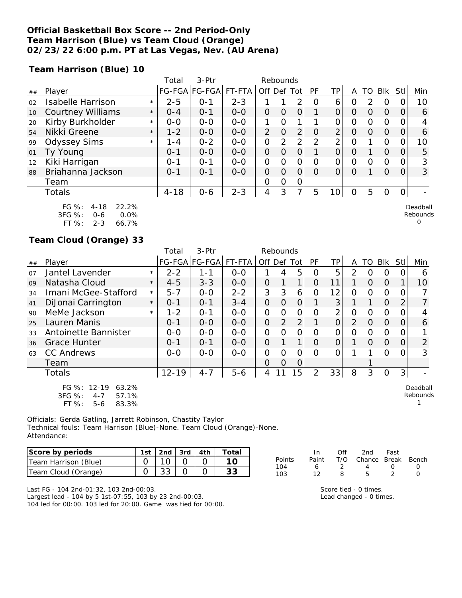#### **Official Basketball Box Score -- 2nd Period-Only Team Harrison (Blue) vs Team Cloud (Orange) 02/23/22 6:00 p.m. PT at Las Vegas, Nev. (AU Arena)**

**Team Harrison (Blue) 10**

|    |                                                                                       |         | Total    | $3-Ptr$               |         |                | Rebounds |                |                |                 |          |               |          |          |                      |
|----|---------------------------------------------------------------------------------------|---------|----------|-----------------------|---------|----------------|----------|----------------|----------------|-----------------|----------|---------------|----------|----------|----------------------|
| ## | Player                                                                                |         |          | FG-FGA FG-FGA  FT-FTA |         | Off Def Tot    |          |                | PF             | ΤP              | A        | TO            | Blk      | Stl      | Min                  |
| 02 | <b>Isabelle Harrison</b>                                                              | $\star$ | $2 - 5$  | $O - 1$               | $2 - 3$ |                |          | ∍              | $\Omega$       | 6               | Ω        | $\mathcal{P}$ | $\circ$  |          | 10                   |
| 10 | <b>Courtney Williams</b>                                                              | $\star$ | $O - 4$  | $O - 1$               | $0 - 0$ | O              | $\Omega$ | 0              |                | 0               | O        | O             | $\Omega$ | O        | 6                    |
| 20 | Kirby Burkholder                                                                      | $\star$ | $0 - 0$  | $0 - 0$               | $0 - 0$ |                | Ω        | 1              |                | 0               | 0        | $\Omega$      | $\Omega$ |          |                      |
| 54 | Nikki Greene                                                                          | $\star$ | $1 - 2$  | $0 - 0$               | $0 - 0$ | $\overline{2}$ | $\Omega$ | $\overline{2}$ | O              | $\overline{2}$  | $\Omega$ | 0             | $\Omega$ | 0        | 6                    |
| 99 | <b>Odyssey Sims</b>                                                                   | $\star$ | 1 - 4    | $0 - 2$               | $0-0$   | 0              | 2        | 2 <sub>1</sub> | $\overline{2}$ | $\overline{2}$  | 0        |               | $\Omega$ |          | 10                   |
| 01 | Ty Young                                                                              |         | $0 - 1$  | $0 - 0$               | $0 - 0$ | $\overline{O}$ | O        | 0              |                | $\overline{O}$  | $\Omega$ |               | $\Omega$ | $\Omega$ | 5                    |
| 12 | Kiki Harrigan                                                                         |         | $0 - 1$  | $0 - 1$               | $O-O$   | 0              | Ω        | 0              | $\Omega$       | 0               | 0        | $\Omega$      | $\Omega$ |          | 3                    |
| 88 | Briahanna Jackson                                                                     |         | $0 - 1$  | $O - 1$               | $0 - 0$ | 0              | $\Omega$ | $\Omega$       | $\Omega$       | 0               | $\Omega$ |               | $\Omega$ | $\Omega$ | 3                    |
|    | Team                                                                                  |         |          |                       |         | 0              | Ο        | 0              |                |                 |          |               |          |          |                      |
|    | Totals                                                                                |         | $4 - 18$ | $0 - 6$               | $2 - 3$ | 4              | 3        | 7 <sup>1</sup> | 5              | 10 <sup>1</sup> | $\Omega$ | 5             | $\Omega$ | $\Omega$ |                      |
|    | $FG \%$ :<br>22.2%<br>$4 - 18$<br>3FG %:<br>0.0%<br>$0 - 6$<br>ET OZ.<br>າ າ<br>66702 |         |          |                       |         |                |          |                |                |                 |          |               |          |          | Deadball<br>Rebounds |

FT %: 2-3 66.7%

#### **Team Cloud (Orange) 33**

|    |                                                                                 |         | Total     | 3-Ptr         |         | Rebounds       |          |                |                |                |                |          |            |                  |                      |
|----|---------------------------------------------------------------------------------|---------|-----------|---------------|---------|----------------|----------|----------------|----------------|----------------|----------------|----------|------------|------------------|----------------------|
| ## | Player                                                                          |         |           | FG-FGA FG-FGA | FT-FTA  | Off Def Tot    |          |                | <b>PF</b>      | TPI            | A              | TO       | <b>Blk</b> | Stll             | Min                  |
| 07 | Jantel Lavender                                                                 | $\star$ | $2 - 2$   | 1-1           | $0 - 0$ |                | 4        | 5              | Ο              | 5              | $\mathcal{P}$  | O        | O          | $\left( \right)$ | 6                    |
| 09 | Natasha Cloud                                                                   | $\star$ | $4 - 5$   | $3 - 3$       | $0 - 0$ | $\Omega$       |          | 1              | $\Omega$       | 11             |                | $\Omega$ | $\Omega$   |                  | 10                   |
| 34 | Imani McGee-Stafford                                                            | $\star$ | $5 - 7$   | $0 - 0$       | $2 - 2$ | 3              | 3        | 6              | O              | 12             | $\Omega$       | $\Omega$ | O          | 0                |                      |
| 41 | DiJonai Carrington                                                              | $\star$ | $0 - 1$   | $O - 1$       | $3 - 4$ | $\overline{O}$ | $\Omega$ | 0              |                | 3              |                |          | $\Omega$   | 2                | 7                    |
| 90 | MeMe Jackson                                                                    | $\star$ | $1 - 2$   | $O - 1$       | $0 - 0$ | $\Omega$       | 0        | $\overline{O}$ | O              | $\overline{2}$ | $\overline{O}$ | O        | O          | 0                |                      |
| 25 | Lauren Manis                                                                    |         | $0 - 1$   | $0 - 0$       | $0 - 0$ | $\overline{O}$ | 2        | $\overline{2}$ |                | $\Omega$       | $\mathcal{P}$  | $\Omega$ | $\Omega$   | 0                | 6                    |
| 33 | Antoinette Bannister                                                            |         | $0-0$     | $0 - 0$       | $0-0$   | $\Omega$       | $\Omega$ | $\Omega$       | $\Omega$       | O              | $\Omega$       | $\Omega$ | $\circ$    | 0                |                      |
| 36 | <b>Grace Hunter</b>                                                             |         | $0 - 1$   | $0 - 1$       | $0 - 0$ | $\overline{O}$ |          |                | O              | 0              |                | 0        | $\Omega$   | 0                | $\overline{2}$       |
| 63 | <b>CC Andrews</b>                                                               |         | $0 - 0$   | $0 - 0$       | $0 - 0$ | O              | $\Omega$ | $\overline{O}$ | $\Omega$       | O              |                |          | $\Omega$   | 0                | 3                    |
|    | Team                                                                            |         |           |               |         | O              | 0        | O              |                |                |                |          |            |                  |                      |
|    | Totals                                                                          |         | $12 - 19$ | $4 - 7$       | $5 - 6$ | 4              |          | 15             | $\overline{2}$ | 33             | 8              | 3        | $\Omega$   | 3                |                      |
|    | FG %: 12-19<br>63.2%<br>3FG %:<br>57.1%<br>$4 - 7$<br>FT %:<br>83.3%<br>$5 - 6$ |         |           |               |         |                |          |                |                |                |                |          |            |                  | Deadball<br>Rebounds |

Officials: Gerda Gatling, Jarrett Robinson, Chastity Taylor Technical fouls: Team Harrison (Blue)-None. Team Cloud (Orange)-None. Attendance:

| Score by periods     | 1st | $\vert$ 2nd $\vert$ 3rd $\vert$ 4th |  |  |
|----------------------|-----|-------------------------------------|--|--|
| Team Harrison (Blue) |     | 10 L                                |  |  |
| Team Cloud (Orange)  |     | 33 L                                |  |  |

|        | In.   | Off           | 2nd                    | Fast             |                  |
|--------|-------|---------------|------------------------|------------------|------------------|
| Points | Paint |               | T/O Chance Break Bench |                  |                  |
| 104    | 6     | $\mathcal{L}$ | 4                      | $\left( \right)$ | $\left( \right)$ |
| 103    | 12    | я             | 5                      | 2                | $\cap$           |
|        |       |               |                        |                  |                  |

Last FG - 104 2nd-01:32, 103 2nd-00:03. Largest lead - 104 by 5 1st-07:55, 103 by 23 2nd-00:03. 104 led for 00:00. 103 led for 20:00. Game was tied for 00:00. Score tied - 0 times. Lead changed - 0 times.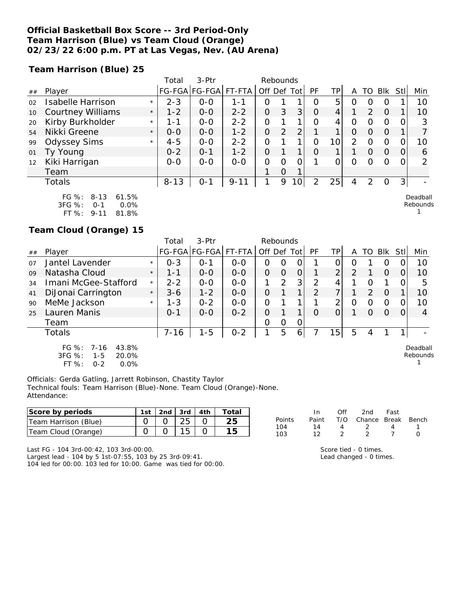#### **Official Basketball Box Score -- 3rd Period-Only Team Harrison (Blue) vs Team Cloud (Orange) 02/23/22 6:00 p.m. PT at Las Vegas, Nev. (AU Arena)**

**Team Harrison (Blue) 25**

|    |                                     | Total    | 3-Ptr         |          | Rebounds    |          |    |          |     |   |                  |          |          |     |
|----|-------------------------------------|----------|---------------|----------|-------------|----------|----|----------|-----|---|------------------|----------|----------|-----|
| ## | Player                              |          | FG-FGA FG-FGA | FT-FTA   | Off Def Tot |          |    | PF       | TPI | A | TO.              | Blk      | Stll     | Min |
| 02 | <b>Isabelle Harrison</b><br>$\star$ | $2 - 3$  | $0 - 0$       | 1-1      | Ο           |          |    | O        | 5.  | O | $\left( \right)$ | $\left($ |          | 10  |
| 10 | <b>Courtney Williams</b><br>$\star$ | $1 - 2$  | $0 - 0$       | $2 - 2$  | O           | 3        | 3  | $\circ$  | 4   |   | $\mathcal{D}$    | $\Omega$ |          | 10  |
| 20 | Kirby Burkholder<br>$\star$         | 1 - 1    | $O-O$         | $2 - 2$  | 0           |          | 1  | Ω        | 4   | 0 | Ω                | Ω        |          | 3   |
| 54 | Nikki Greene<br>$\star$             | $0 - 0$  | $0 - 0$       | $1 - 2$  | 0           | 2        | 2  |          |     | 0 | O                | $\Omega$ |          | 7   |
| 99 | <b>Odyssey Sims</b><br>$\star$      | $4 - 5$  | $0 - 0$       | $2 - 2$  | 0           |          |    | 0        | 10  | 2 | Ο                | Ο        |          | 10  |
| 01 | Ty Young                            | $0 - 2$  | $O - 1$       | $1 - 2$  | 0           |          | 1  | $\Omega$ | 1   |   | $\Omega$         | $\Omega$ | $\Omega$ | 6   |
| 12 | Kiki Harrigan                       | $0 - 0$  | $0 - 0$       | $0-0$    | 0           | Ω        | Ω  |          |     | Ω |                  | Ω        |          | 2   |
|    | Team                                |          |               |          |             | $\Omega$ | 1  |          |     |   |                  |          |          |     |
|    | Totals                              | $8 - 13$ | $0 - 1$       | $9 - 11$ |             | 9        | 10 | 2        | 25  | 4 |                  | Ο        | 3        |     |
|    |                                     |          |               |          |             |          |    |          |     |   |                  |          |          |     |

FG %: 8-13 61.5% 3FG %: 0-1 0.0% FT %: 9-11 81.8%

**Team Cloud (Orange) 15**

|    |                                                                                     |         | Total    | $3-Ptr$       |         | Rebounds |          |              |    |                |   |                |          |     |                      |
|----|-------------------------------------------------------------------------------------|---------|----------|---------------|---------|----------|----------|--------------|----|----------------|---|----------------|----------|-----|----------------------|
| ## | Player                                                                              |         |          | FG-FGA FG-FGA | FT-FTA  | Off      | Def      | Totl         | PF | ΤP             | Α | TO             | Blk      | Stl | Min                  |
| 07 | Jantel Lavender                                                                     | $\star$ | $0 - 3$  | $O - 1$       | $0 - 0$ | Ο        | Ο        | O            |    | 0.             | O |                | O        |     | 10                   |
| 09 | Natasha Cloud                                                                       | $\star$ | $1 - 1$  | $0 - 0$       | $0 - 0$ | O        | $\Omega$ | O            |    | $\overline{2}$ | 2 |                | $\Omega$ |     | 10                   |
| 34 | Imani McGee-Stafford                                                                | $\star$ | $2 - 2$  | $0 - 0$       | $0 - 0$ |          | 2        | 3            | 2  | 4              |   | $\Omega$       |          |     | 5                    |
| 41 | DiJonai Carrington                                                                  | $\star$ | $3 - 6$  | $1 - 2$       | $0 - 0$ | Ο        |          | $\mathbf{1}$ | ↷  | 7              |   | $\overline{2}$ | $\Omega$ |     | 10                   |
| 90 | MeMe Jackson                                                                        | $\star$ | $1 - 3$  | $0 - 2$       | $0 - 0$ | 0        |          |              |    | 2              | Ο | O              | 0        |     | 10                   |
| 25 | Lauren Manis                                                                        |         | $0 - 1$  | $0 - 0$       | $0 - 2$ | 0        |          |              | 0  | 0              |   | O              | $\Omega$ |     | 4                    |
|    | Team                                                                                |         |          |               |         | 0        | 0        | 0            |    |                |   |                |          |     |                      |
|    | Totals                                                                              |         | $7 - 16$ | $1 - 5$       | $0 - 2$ |          | 5        | 6            |    | 151            | 5 | 4              |          |     |                      |
|    | FG $\%$ : 7-16<br>43.8%<br>$3FG \%$<br>20.0%<br>$1 - 5$<br>FT %:<br>0.0%<br>$0 - 2$ |         |          |               |         |          |          |              |    |                |   |                |          |     | Deadball<br>Rebounds |

Officials: Gerda Gatling, Jarrett Robinson, Chastity Taylor Technical fouls: Team Harrison (Blue)-None. Team Cloud (Orange)-None. Attendance:

| Score by periods            | 1st. | 3rd      | 4th | $\tau$ otal |            | In    | 2nd    | Fast  |       |
|-----------------------------|------|----------|-----|-------------|------------|-------|--------|-------|-------|
| (Blue)<br>Team Harrison     |      | つに<br>∠◡ |     | つに          | Points     | Paint | Chance | Break | Bench |
| Team .<br>(Orange)<br>Cloud |      |          |     |             | 104<br>103 |       |        |       |       |

Last FG - 104 3rd-00:42, 103 3rd-00:00.

Largest lead - 104 by 5 1st-07:55, 103 by 25 3rd-09:41. 104 led for 00:00. 103 led for 10:00. Game was tied for 00:00. Score tied - 0 times. Lead changed - 0 times.

Deadball Rebounds 1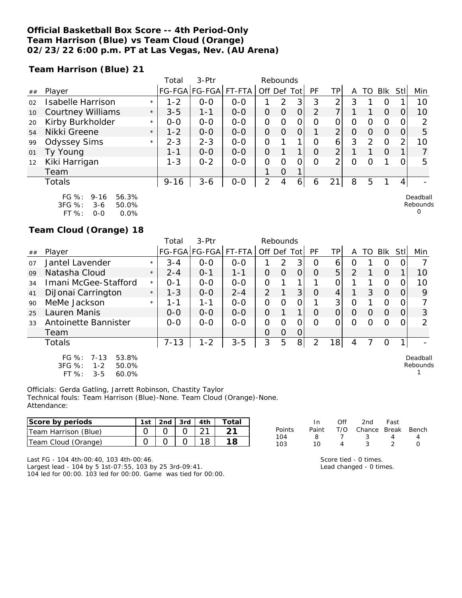#### **Official Basketball Box Score -- 4th Period-Only Team Harrison (Blue) vs Team Cloud (Orange) 02/23/22 6:00 p.m. PT at Las Vegas, Nev. (AU Arena)**

**Team Harrison (Blue) 21**

|    |                          |         | Total    | 3-Ptr         |         |                | Rebounds |          |                |                |   |               |            |     |               |
|----|--------------------------|---------|----------|---------------|---------|----------------|----------|----------|----------------|----------------|---|---------------|------------|-----|---------------|
| ## | Player                   |         |          | FG-FGA FG-FGA | FT-FTA  | Off Def        |          | Tot      | РF             | TPı            | Α | TО            | <b>BIK</b> | Stl | Min           |
| 02 | <b>Isabelle Harrison</b> | $\star$ | $1 - 2$  | $0 - 0$       | $0 - 0$ |                | 2        | 3        | 3              | ⌒              | 3 |               | O          |     | 10            |
| 10 | <b>Courtney Williams</b> | $\star$ | $3 - 5$  | $1 - 1$       | $O-O$   | 0              | O        | 0        | $\overline{2}$ |                |   |               | 0          |     | 10            |
| 20 | Kirby Burkholder         | $\star$ | $0 - 0$  | $0 - 0$       | $0 - 0$ | 0              | 0        | 0        | 0              | Ο              | 0 | O             | Ο          | Ο   | 2             |
| 54 | Nikki Greene             | $\star$ | $1 - 2$  | $O-O$         | $O - O$ | O              | $\Omega$ | $\Omega$ | 1              | $\overline{2}$ | 0 | O             | Ω          | O   | 5             |
| 99 | <b>Odyssey Sims</b>      | $\star$ | $2 - 3$  | $2 - 3$       | $0 - 0$ | $\Omega$       |          | 1        | Ω              | 6              | 3 | $\mathcal{P}$ | O          | 2   | 10            |
| 01 | Ty Young                 |         | $1 - 1$  | $O-O$         | $0 - 0$ | 0              |          | 1        | 0              | $\overline{2}$ |   |               | O          |     | 7             |
| 12 | Kiki Harrigan            |         | $1 - 3$  | $0 - 2$       | $0-0$   | O              | 0        | 0        | 0              | ⌒              | 0 | O             |            |     | 5             |
|    | Team                     |         |          |               |         |                | $\Omega$ | 1        |                |                |   |               |            |     |               |
|    | Totals                   |         | $9 - 16$ | $3 - 6$       | $O-O$   | $\overline{2}$ | 4        | 6        | 6              | $\bigcirc$ 1   | 8 | 5             |            | 4   |               |
|    | F / 20/                  |         |          |               |         |                |          |          |                |                |   |               |            |     | $D = -11 - 1$ |

| FG $\%$ :  | 9-16  | 56.3%   |
|------------|-------|---------|
| $3FG \%$ : | $3-6$ | 50.0%   |
| FT %:      | ೧-೧   | $0.0\%$ |

### **Team Cloud (Orange) 18**

|    |                                                                                           |         | Total    | 3-Ptr         |         | Rebounds    |   |                |          |                 |               |                  |                |      |                      |
|----|-------------------------------------------------------------------------------------------|---------|----------|---------------|---------|-------------|---|----------------|----------|-----------------|---------------|------------------|----------------|------|----------------------|
| ## | Player                                                                                    |         |          | FG-FGA FG-FGA | FT-FTA  | Off Def Tot |   |                | PF       | ТP              | Α             | TO               | Blk            | Stll | Min                  |
| 07 | Jantel Lavender                                                                           | $\star$ | $3 - 4$  | $0 - 0$       | $0 - 0$ |             | 2 | 3              | 0        | 6               | 0             |                  | O              |      |                      |
| 09 | Natasha Cloud                                                                             | $\star$ | $2 - 4$  | $O - 1$       | $1 - 1$ | 0           | O | 0              | O        | 5               | $\mathcal{P}$ |                  | $\Omega$       |      | 10                   |
| 34 | Imani McGee-Stafford                                                                      | $\star$ | $0 - 1$  | $0 - 0$       | $O-O$   | O           |   |                |          | 0               |               |                  | O              | 0    | 10                   |
| 41 | DiJonai Carrington                                                                        | $\star$ | $1 - 3$  | $0 - 0$       | $2 - 4$ | 2           |   | 3              | O        | 4               |               | 3                | $\overline{0}$ | O    | 9                    |
| 90 | MeMe Jackson                                                                              | $\star$ | 1-1      | 1-1           | $0 - 0$ | 0           | Ω | 0              |          | 3               | 0             |                  | 0              |      |                      |
| 25 | Lauren Manis                                                                              |         | $0 - 0$  | $0 - 0$       | $0 - 0$ | 0           |   | 1              | $\Omega$ | $\Omega$        | O             | $\left( \right)$ | $\Omega$       | 0    | 3                    |
| 33 | Antoinette Bannister                                                                      |         | $0 - 0$  | $0-0$         | $0-0$   | Ο           | Ω | 0              | Ω        |                 | Ω             | O                | Ω              |      | っ                    |
|    | Team                                                                                      |         |          |               |         | $\Omega$    | O | 0              |          |                 |               |                  |                |      |                      |
|    | <b>Totals</b>                                                                             |         | $7 - 13$ | $1 - 2$       | $3 - 5$ | 3           | 5 | 8 <sup>1</sup> | 2        | 18 <sub>l</sub> | 4             |                  | O              | 1    |                      |
|    | $FG \%$ :<br>$7 - 13$<br>53.8%<br>3FG %:<br>$1 - 2$<br>50.0%<br>FT %:<br>60.0%<br>$3 - 5$ |         |          |               |         |             |   |                |          |                 |               |                  |                |      | Deadball<br>Rebounds |

Officials: Gerda Gatling, Jarrett Robinson, Chastity Taylor Technical fouls: Team Harrison (Blue)-None. Team Cloud (Orange)-None. Attendance:

| Score by periods          | l st | 2nd | 3rd | 4th           | Total |            |       |     | 2nd    | Fast         |       |
|---------------------------|------|-----|-----|---------------|-------|------------|-------|-----|--------|--------------|-------|
| (Blue)<br>Team Harrison   |      |     |     | $\sim$ $\sim$ |       | Points     | Paint | T/O | Chance | <b>Break</b> | Bench |
| Cloud<br>(Orange)<br>Team |      |     |     | 18            | 18    | 104<br>103 |       |     |        |              |       |

Last FG - 104 4th-00:40, 103 4th-00:46.

Largest lead - 104 by 5 1st-07:55, 103 by 25 3rd-09:41. 104 led for 00:00. 103 led for 00:00. Game was tied for 00:00.

| 10 |                       |  |
|----|-----------------------|--|
|    | Score tied - 0 times. |  |

Lead changed - 0 times.

Deadball Rebounds